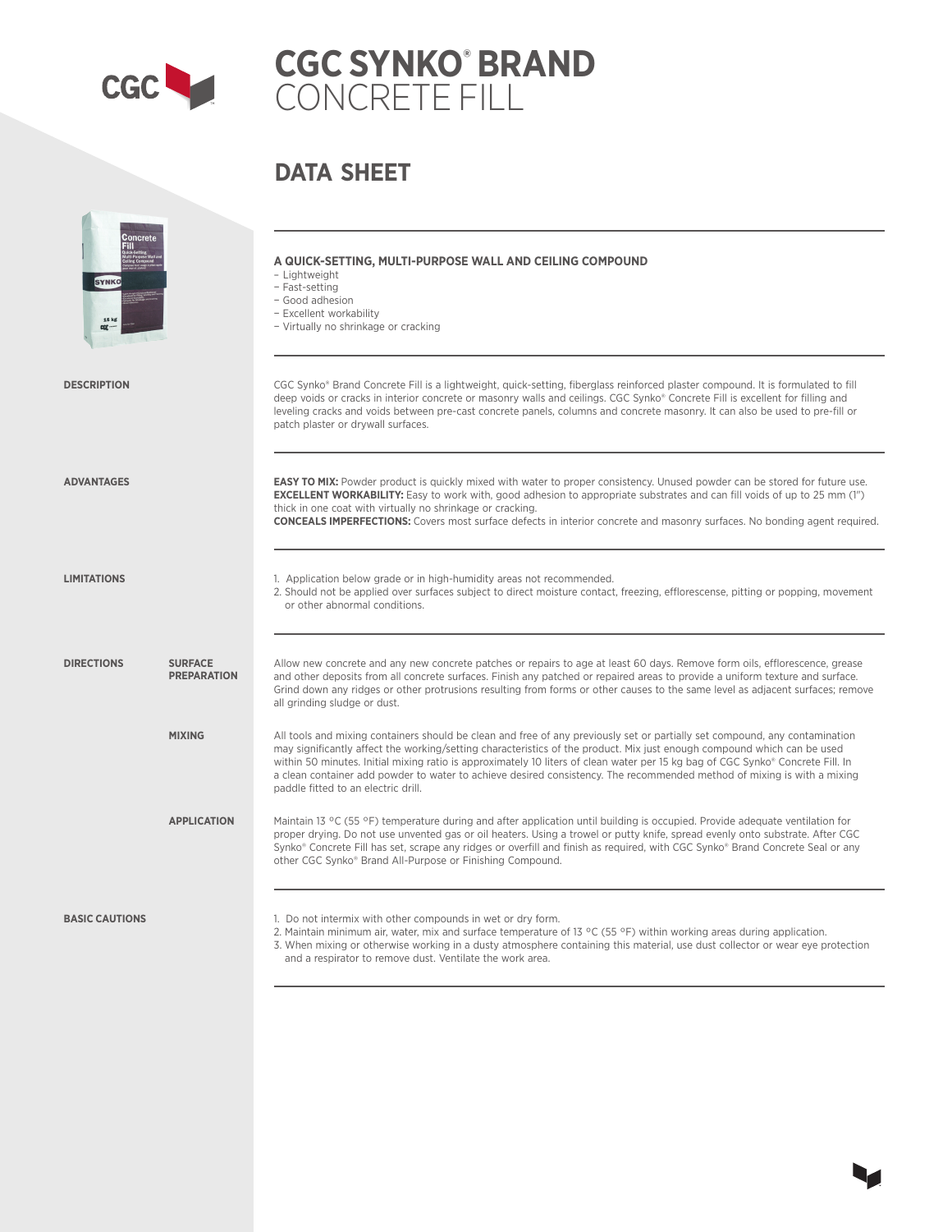

# **CGC SYNKO® BRAND** CONCRETE FILL

## **DATA SHEET**

| <b>Concrete</b><br><b>SYNKO</b><br><b>15 kg</b> |                                      | A QUICK-SETTING, MULTI-PURPOSE WALL AND CEILING COMPOUND<br>- Lightweight<br>- Fast-setting<br>- Good adhesion<br>- Excellent workability<br>- Virtually no shrinkage or cracking                                                                                                                                                                                                                                                                                                                                                                           |
|-------------------------------------------------|--------------------------------------|-------------------------------------------------------------------------------------------------------------------------------------------------------------------------------------------------------------------------------------------------------------------------------------------------------------------------------------------------------------------------------------------------------------------------------------------------------------------------------------------------------------------------------------------------------------|
| <b>DESCRIPTION</b>                              |                                      | CGC Synko® Brand Concrete Fill is a lightweight, quick-setting, fiberglass reinforced plaster compound. It is formulated to fill<br>deep voids or cracks in interior concrete or masonry walls and ceilings. CGC Synko® Concrete Fill is excellent for filling and<br>leveling cracks and voids between pre-cast concrete panels, columns and concrete masonry. It can also be used to pre-fill or<br>patch plaster or drywall surfaces.                                                                                                                    |
| <b>ADVANTAGES</b>                               |                                      | <b>EASY TO MIX:</b> Powder product is quickly mixed with water to proper consistency. Unused powder can be stored for future use.<br><b>EXCELLENT WORKABILITY:</b> Easy to work with, good adhesion to appropriate substrates and can fill voids of up to 25 mm (1")<br>thick in one coat with virtually no shrinkage or cracking.<br><b>CONCEALS IMPERFECTIONS:</b> Covers most surface defects in interior concrete and masonry surfaces. No bonding agent required.                                                                                      |
| <b>LIMITATIONS</b>                              |                                      | 1. Application below grade or in high-humidity areas not recommended.<br>2. Should not be applied over surfaces subject to direct moisture contact, freezing, efflorescense, pitting or popping, movement<br>or other abnormal conditions.                                                                                                                                                                                                                                                                                                                  |
| <b>DIRECTIONS</b>                               | <b>SURFACE</b><br><b>PREPARATION</b> | Allow new concrete and any new concrete patches or repairs to age at least 60 days. Remove form oils, efflorescence, grease<br>and other deposits from all concrete surfaces. Finish any patched or repaired areas to provide a uniform texture and surface.<br>Grind down any ridges or other protrusions resulting from forms or other causes to the same level as adjacent surfaces; remove<br>all grinding sludge or dust.                                                                                                                              |
|                                                 | <b>MIXING</b>                        | All tools and mixing containers should be clean and free of any previously set or partially set compound, any contamination<br>may significantly affect the working/setting characteristics of the product. Mix just enough compound which can be used<br>within 50 minutes. Initial mixing ratio is approximately 10 liters of clean water per 15 kg bag of CGC Synko® Concrete Fill. In<br>a clean container add powder to water to achieve desired consistency. The recommended method of mixing is with a mixing<br>paddle fitted to an electric drill. |
|                                                 | <b>APPLICATION</b>                   | Maintain 13 °C (55 °F) temperature during and after application until building is occupied. Provide adequate ventilation for<br>proper drying. Do not use unvented gas or oil heaters. Using a trowel or putty knife, spread evenly onto substrate. After CGC<br>Synko® Concrete Fill has set, scrape any ridges or overfill and finish as required, with CGC Synko® Brand Concrete Seal or any<br>other CGC Synko® Brand All-Purpose or Finishing Compound.                                                                                                |
| <b>BASIC CAUTIONS</b>                           |                                      | 1. Do not intermix with other compounds in wet or dry form.<br>2. Maintain minimum air, water, mix and surface temperature of 13 °C (55 °F) within working areas during application.<br>3. When mixing or otherwise working in a dusty atmosphere containing this material, use dust collector or wear eye protection<br>and a respirator to remove dust. Ventilate the work area.                                                                                                                                                                          |